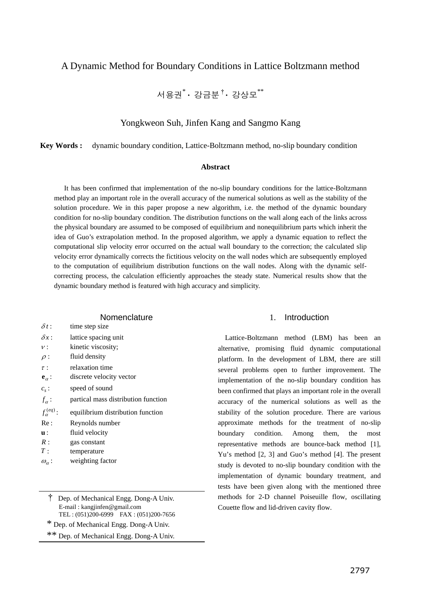# A Dynamic Method for Boundary Conditions in Lattice Boltzmann method

서용권\* **·** 강금분†**·** 강상모\*\*

## Yongkweon Suh, Jinfen Kang and Sangmo Kang

**Key Words :** dynamic boundary condition, Lattice-Boltzmann method, no-slip boundary condition

## **Abstract**

It has been confirmed that implementation of the no-slip boundary conditions for the lattice-Boltzmann method play an important role in the overall accuracy of the numerical solutions as well as the stability of the solution procedure. We in this paper propose a new algorithm, i.e. the method of the dynamic boundary condition for no-slip boundary condition. The distribution functions on the wall along each of the links across the physical boundary are assumed to be composed of equilibrium and nonequilibrium parts which inherit the idea of Guo's extrapolation method. In the proposed algorithm, we apply a dynamic equation to reflect the computational slip velocity error occurred on the actual wall boundary to the correction; the calculated slip velocity error dynamically corrects the fictitious velocity on the wall nodes which are subsequently employed to the computation of equilibrium distribution functions on the wall nodes. Along with the dynamic selfcorrecting process, the calculation efficiently approaches the steady state. Numerical results show that the dynamic boundary method is featured with high accuracy and simplicity.

### **Nomenclature**

| $\delta t$ :          | time step size                      |
|-----------------------|-------------------------------------|
| $\delta x$ :          | lattice spacing unit                |
| $\nu$ :               | kinetic viscosity;                  |
| $\rho$ :              | fluid density                       |
| $\tau$ :              | relaxation time                     |
| ${\bf e}_\alpha$ :    | discrete velocity vector            |
| $c_{s}$ :             | speed of sound                      |
| $f_{\alpha}$ :        | partical mass distribution function |
| $f_{\alpha}^{(eq)}$ : | equilibrium distribution function   |
| Re:                   | Reynolds number                     |
| $\mathbf{u}$ :        | fluid velocity                      |
| R:                    | gas constant                        |
|                       |                                     |
| T:                    | temperature                         |

<sup>†</sup> Dep. of Mechanical Engg. Dong-A Univ. E-mail : kangjinfen@gmail.com TEL : (051)200-6999 FAX : (051)200-7656

### 1. Introduction

Lattice-Boltzmann method (LBM) has been an alternative, promising fluid dynamic computational platform. In the development of LBM, there are still several problems open to further improvement. The implementation of the no-slip boundary condition has been confirmed that plays an important role in the overall accuracy of the numerical solutions as well as the stability of the solution procedure. There are various approximate methods for the treatment of no-slip boundary condition. Among them, the most representative methods are bounce-back method [1], Yu's method [2, 3] and Guo's method [4]. The present study is devoted to no-slip boundary condition with the implementation of dynamic boundary treatment, and tests have been given along with the mentioned three methods for 2-D channel Poiseuille flow, oscillating Couette flow and lid-driven cavity flow.

 <sup>\*</sup> Dep. of Mechanical Engg. Dong-A Univ.

<sup>\*\*</sup> Dep. of Mechanical Engg. Dong-A Univ.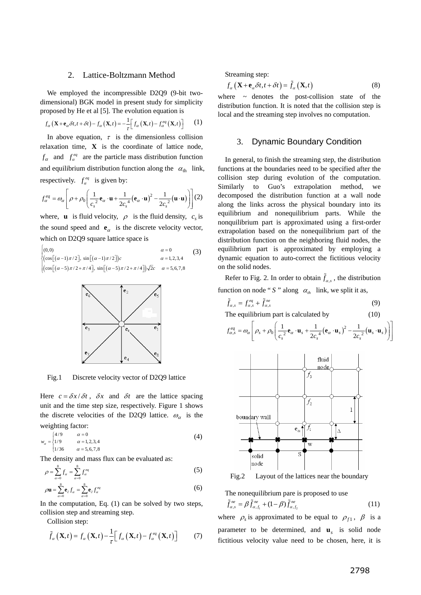#### 2. Lattice-Boltzmann Method

We employed the incompressible D2Q9 (9-bit twodimensional) BGK model in present study for simplicity proposed by He et al [5]. The evolution equation is

$$
f_{\alpha}\left(\mathbf{X}+\mathbf{e}_{\alpha}\delta t,t+\delta t\right)-f_{\alpha}\left(\mathbf{X},t\right)=-\frac{1}{\tau}\Big[f_{\alpha}\left(\mathbf{X},t\right)-f_{\alpha}^{eq}\left(\mathbf{X},t\right)\Big]
$$
 (1)

In above equation,  $\tau$  is the dimensionless collision relaxation time, **X** is the coordinate of lattice node,  $f_{\alpha}$  and  $f_{\alpha}^{eq}$  are the particle mass distribution function and equilibrium distribution function along the  $\alpha_{\text{th}}$  link, respectively.  $f_a^{eq}$  is given by:

$$
f_{\alpha}^{eq} = \omega_{\alpha} \left[ \rho + \rho_0 \left( \frac{1}{c_s^2} \mathbf{e}_{\alpha} \cdot \mathbf{u} + \frac{1}{2c_s^4} (\mathbf{e}_{\alpha} \cdot \mathbf{u})^2 - \frac{1}{2c_s^2} (\mathbf{u} \cdot \mathbf{u}) \right) \right] (2)
$$

where, **u** is fluid velocity,  $\rho$  is the fluid density,  $c_s$  is the sound speed and  $\mathbf{e}_{\alpha}$  is the discrete velocity vector, which on D2Q9 square lattice space is

$$
\begin{cases}\n(0,0) & \alpha = 0 \\
(\cos[(\alpha-1)\pi/2], \sin[(\alpha-1)\pi/2])c & \alpha = 1,2,3,4 \\
(\cos[(\alpha-5)\pi/2 + \pi/4], \sin[(\alpha-5)\pi/2 + \pi/4])\sqrt{2}c & \alpha = 5,6,7,8\n\end{cases}
$$
\n(3)



Fig.1 Discrete velocity vector of D2Q9 lattice

Here  $c = \frac{\partial x}{\partial t}$ ,  $\delta x$  and  $\delta t$  are the lattice spacing unit and the time step size, respectively. Figure 1 shows the discrete velocities of the D2Q9 lattice.  $\omega_{\alpha}$  is the weighting factor:

$$
w_{\alpha} = \begin{cases} 4/9 & \alpha = 0 \\ 1/9 & \alpha = 1, 2, 3, 4 \\ 1/36 & \alpha = 5, 6, 7, 8 \end{cases}
$$
 (4)

The density and mass flux can be evaluated as:

$$
\rho = \sum_{\alpha=0}^{8} f_{\alpha} = \sum_{\alpha=0}^{8} f_{\alpha}^{eq} \tag{5}
$$

$$
\rho \mathbf{u} = \sum_{\alpha=0}^{8} \mathbf{e}_{\partial} f_{\alpha} = \sum_{\alpha=0}^{8} \mathbf{e}_{\partial} f_{\alpha}^{eq} \tag{6}
$$

In the computation, Eq.  $(1)$  can be solved by two steps, collision step and streaming step.

Collision step:

$$
\tilde{f}_{\alpha}\left(\mathbf{X},t\right) = f_{\alpha}\left(\mathbf{X},t\right) - \frac{1}{\tau} \Big[ f_{\alpha}\left(\mathbf{X},t\right) - f_{\alpha}^{eq}\left(\mathbf{X},t\right) \Big] \tag{7}
$$

Streaming step:

$$
f_{\alpha}\left(\mathbf{X}+\mathbf{e}_{\alpha}\delta t, t+\delta t\right)=\tilde{f}_{\alpha}\left(\mathbf{X}, t\right)
$$
\n(8)

where  $\sim$  denotes the post-collision state of the distribution function. It is noted that the collision step is local and the streaming step involves no computation.

## 3. Dynamic Boundary Condition

In general, to finish the streaming step, the distribution functions at the boundaries need to be specified after the collision step during evolution of the computation. Similarly to Guo's extrapolation method, we decomposed the distribution function at a wall node along the links across the physical boundary into its equilibrium and nonequilibrium parts. While the nonquilibrium part is approximated using a first-order extrapolation based on the nonequilibrium part of the distribution function on the neighboring fluid nodes, the equilibrium part is approximated by employing a dynamic equation to auto-correct the fictitious velocity on the solid nodes.

Refer to Fig. 2. In order to obtain  $\tilde{f}_{\alpha,s}$ , the distribution function on node " *S* " along  $\alpha_{th}$  link, we split it as,

$$
\tilde{f}_{\alpha,s} = f_{\alpha,s}^{eq} + \tilde{f}_{\alpha,s}^{ne} \tag{9}
$$

The equilibrium part is calculated by (10)

$$
f_{\alpha,s}^{eq} = \omega_{\alpha} \left[ \rho_s + \rho_0 \left( \frac{1}{c_s^2} \mathbf{e}_{\alpha} \cdot \mathbf{u}_s + \frac{1}{2c_s^4} (\mathbf{e}_{\alpha} \cdot \mathbf{u}_s)^2 - \frac{1}{2c_s^2} (\mathbf{u}_s \cdot \mathbf{u}_s) \right) \right]
$$



Fig.2 Layout of the lattices near the boundary

The nonequilibrium pare is proposed to use

$$
\tilde{f}_{\alpha,s}^{\text{ne}} = \beta \tilde{f}_{\alpha,f_1}^{\text{ne}} + (1-\beta) \tilde{f}_{\alpha,f_2}^{\text{ne}} \tag{11}
$$

where  $\rho_s$  is approximated to be equal to  $\rho_{f1}$ ,  $\beta$  is a parameter to be determined, and **u***s* is solid node fictitious velocity value need to be chosen, here, it is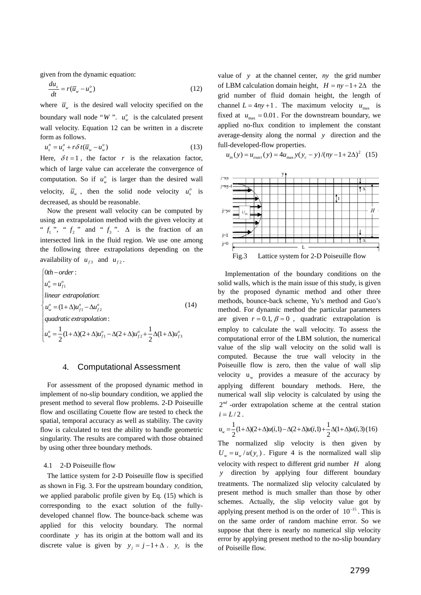given from the dynamic equation:

$$
\frac{du_s}{dt} = r(\overline{u}_w - u_w^o) \tag{12}
$$

where  $\bar{u}_w$  is the desired wall velocity specified on the boundary wall node "*W*".  $u_w^o$  is the calculated present wall velocity. Equation 12 can be written in a discrete form as follows.

$$
u_s^n = u_s^o + r\delta t(\overline{u}_w - u_w^o)
$$
 (13)

Here,  $\delta t = 1$ , the factor *r* is the relaxation factor, which of large value can accelerate the convergence of computation. So if  $u_w^o$  is larger than the desired wall velocity,  $\overline{u}_w$ , then the solid node velocity  $u_s^o$  is decreased, as should be reasonable.

Now the present wall velocity can be computed by using an extrapolation method with the given velocity at "  $f_1$ ", "  $f_2$ " and "  $f_3$ ".  $\Delta$  is the fraction of an intersected link in the fluid region. We use one among the following three extrapolations depending on the availability of  $u_{f3}$  and  $u_{f2}$ .

$$
\begin{cases}\n0th-order: \n u_w^o = u_{f1}^o \nlinear extrapolation: \n u_w^o = (1 + \Delta)u_{f1}^o - \Delta u_{f2}^o \nquadratic extrapolation: \n u_w^o = \frac{1}{2}(1 + \Delta)(2 + \Delta)u_{f1}^o - \Delta(2 + \Delta)u_{f2}^o + \frac{1}{2}\Delta(1 + \Delta)u_{f3}^o\n\end{cases}
$$
\n(14)

### 4. Computational Assessment

For assessment of the proposed dynamic method in implement of no-slip boundary condition, we applied the present method to several flow problems. 2-D Poiseuille flow and oscillating Couette flow are tested to check the spatial, temporal accuracy as well as stability. The cavity flow is calculated to test the ability to handle geometric singularity. The results are compared with those obtained by using other three boundary methods.

#### 4.1 2-D Poiseuille flow

The lattice system for 2-D Poiseuille flow is specified as shown in Fig. 3. For the upstream boundary condition, we applied parabolic profile given by Eq. (15) which is corresponding to the exact solution of the fullydeveloped channel flow. The bounce-back scheme was applied for this velocity boundary. The normal coordinate *y* has its origin at the bottom wall and its discrete value is given by  $y_j = j - 1 + \Delta$ .  $y_c$  is the

value of *y* at the channel center, *ny* the grid number of LBM calculation domain height,  $H = ny - 1 + 2\Delta$  the grid number of fluid domain height, the length of channel  $L = 4ny + 1$ . The maximum velocity  $u_{\text{max}}$  is fixed at  $u_{\text{max}} = 0.01$ . For the downstream boundary, we applied no-flux condition to implement the constant average-density along the normal *y* direction and the full-developed-flow properties.

$$
u_{in}(y) = u_{exact}(y) = 4u_{max}y(y_c - y)/(ny - 1 + 2\Delta)^2
$$
 (15)



Implementation of the boundary conditions on the solid walls, which is the main issue of this study, is given by the proposed dynamic method and other three methods, bounce-back scheme, Yu's method and Guo's method. For dynamic method the particular parameters are given  $r = 0.1$ ,  $\beta = 0$ , quadratic extrapolation is employ to calculate the wall velocity. To assess the computational error of the LBM solution, the numerical value of the slip wall velocity on the solid wall is computed. Because the true wall velocity in the Poiseuille flow is zero, then the value of wall slip velocity  $u_w$  provides a measure of the accuracy by applying different boundary methods. Here, the numerical wall slip velocity is calculated by using the  $2^{nd}$  -order extrapolation scheme at the central station  $i = L/2$ .

$$
u_w = \frac{1}{2}(1+\Delta)(2+\Delta)u(i,1) - \Delta(2+\Delta)u(i,1) + \frac{1}{2}\Delta(1+\Delta)u(i,3)(16)
$$

The normalized slip velocity is then given by  $U_w = u_w/u(y_c)$ . Figure 4 is the normalized wall slip velocity with respect to different grid number *H* along *y* direction by applying four different boundary treatments. The normalized slip velocity calculated by present method is much smaller than those by other schemes. Actually, the slip velocity value got by applying present method is on the order of  $10^{-15}$ . This is on the same order of random machine error. So we suppose that there is nearly no numerical slip velocity error by applying present method to the no-slip boundary of Poiseille flow.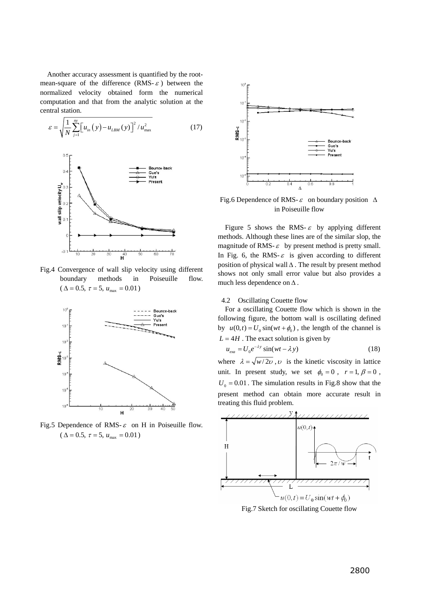Another accuracy assessment is quantified by the rootmean-square of the difference (RMS- $\varepsilon$ ) between the normalized velocity obtained form the numerical computation and that from the analytic solution at the central station.

$$
\varepsilon = \sqrt{\frac{1}{N} \sum_{j=1}^{n_{\mathcal{Y}}} \left[ u_{in} \left( y \right) - u_{LBM} \left( y \right) \right]^2 / u_{\max}^2}
$$
(17)



Fig.4 Convergence of wall slip velocity using different boundary methods in Poiseuille flow.  $(\Delta = 0.5, \tau = 5, u_{\text{max}} = 0.01)$ 



Fig.5 Dependence of RMS- $\varepsilon$  on H in Poiseuille flow.  $(\Delta = 0.5, \tau = 5, u_{\text{max}} = 0.01)$ 



Fig.6 Dependence of RMS- $\varepsilon$  on boundary position  $\Delta$ in Poiseuille flow

Figure 5 shows the RMS- $\varepsilon$  by applying different methods. Although these lines are of the similar slop, the magnitude of RMS- $\varepsilon$  by present method is pretty small. In Fig. 6, the RMS- $\varepsilon$  is given according to different position of physical wall  $\Delta$ . The result by present method shows not only small error value but also provides a much less dependence on Δ .

#### 4.2 Oscillating Couette flow

For a oscillating Couette flow which is shown in the following figure, the bottom wall is oscillating defined by  $u(0,t) = U_0 \sin(wt + \phi_0)$ , the length of the channel is  $L = 4H$ . The exact solution is given by

$$
u_{\text{exa}} = U_0 e^{-\lambda y} \sin(wt - \lambda y) \tag{18}
$$

where  $\lambda = \sqrt{w/2v}$ , *v* is the kinetic viscosity in lattice unit. In present study, we set  $\phi_0 = 0$ ,  $r = 1, \beta = 0$ ,  $U_0 = 0.01$ . The simulation results in Fig.8 show that the present method can obtain more accurate result in treating this fluid problem.



Fig.7 Sketch for oscillating Couette flow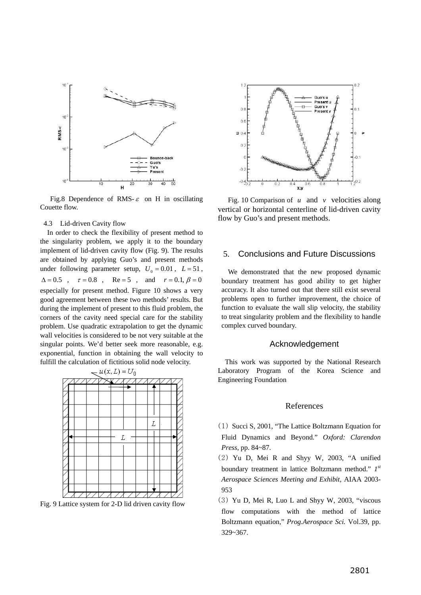

Fig.8 Dependence of RMS- $\varepsilon$  on H in oscillating Couette flow.

#### 4.3 Lid-driven Cavity flow

In order to check the flexibility of present method to the singularity problem, we apply it to the boundary implement of lid-driven cavity flow (Fig. 9). The results are obtained by applying Guo's and present methods under following parameter setup,  $U_0 = 0.01$ ,  $L = 51$ ,  $\Delta = 0.5$ ,  $\tau = 0.8$ , Re = 5, and  $r = 0.1, \beta = 0$ especially for present method. Figure 10 shows a very good agreement between these two methods' results. But during the implement of present to this fluid problem, the corners of the cavity need special care for the stability problem. Use quadratic extrapolation to get the dynamic wall velocities is considered to be not very suitable at the singular points. We'd better seek more reasonable, e.g. exponential, function in obtaining the wall velocity to fulfill the calculation of fictitious solid node velocity.



Fig. 9 Lattice system for 2-D lid driven cavity flow



Fig. 10 Comparison of *u* and *v* velocities along vertical or horizontal centerline of lid-driven cavity flow by Guo's and present methods.

## 5. Conclusions and Future Discussions

We demonstrated that the new proposed dynamic boundary treatment has good ability to get higher accuracy. It also turned out that there still exist several problems open to further improvement, the choice of function to evaluate the wall slip velocity, the stability to treat singularity problem and the flexibility to handle complex curved boundary.

### Acknowledgement

This work was supported by the National Research Laboratory Program of the Korea Science and Engineering Foundation

#### References

- (1) Succi S, 2001, "The Lattice Boltzmann Equation for Fluid Dynamics and Beyond." *Oxford: Clarendon Press,* pp. 84~87.
- (2) Yu D, Mei R and Shyy W, 2003, "A unified boundary treatment in lattice Boltzmann method." *1st Aerospace Sciences Meeting and Exhibit,* AIAA 2003- 953
- (3) Yu D, Mei R, Luo L and Shyy W, 2003, "viscous flow computations with the method of lattice Boltzmann equation," *Prog.Aerospace Sci.* Vol.39, pp. 329~367.